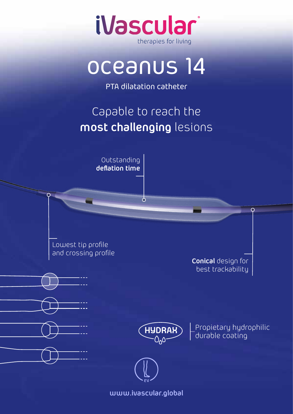

## oceanus 14

PTA dilatation catheter

## Capable to reach the **most challenging** lesions

 $\sigma$ 

Outstanding **deflation time**

Lowest tip profile and crossing profile

**Conical** design for best trackability

 $\overline{C}$ 



Propietary hydrophilic durable coating



**www.ivascular.global**